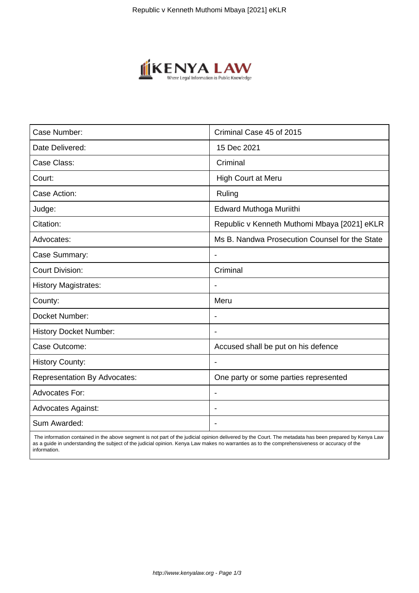

| Case Number:                        | Criminal Case 45 of 2015                       |
|-------------------------------------|------------------------------------------------|
| Date Delivered:                     | 15 Dec 2021                                    |
| Case Class:                         | Criminal                                       |
| Court:                              | High Court at Meru                             |
| Case Action:                        | Ruling                                         |
| Judge:                              | Edward Muthoga Muriithi                        |
| Citation:                           | Republic v Kenneth Muthomi Mbaya [2021] eKLR   |
| Advocates:                          | Ms B. Nandwa Prosecution Counsel for the State |
| Case Summary:                       |                                                |
| <b>Court Division:</b>              | Criminal                                       |
| <b>History Magistrates:</b>         |                                                |
| County:                             | Meru                                           |
| Docket Number:                      |                                                |
| <b>History Docket Number:</b>       |                                                |
| Case Outcome:                       | Accused shall be put on his defence            |
| <b>History County:</b>              |                                                |
| <b>Representation By Advocates:</b> | One party or some parties represented          |
| <b>Advocates For:</b>               | $\overline{\phantom{a}}$                       |
| <b>Advocates Against:</b>           |                                                |
| Sum Awarded:                        |                                                |

 The information contained in the above segment is not part of the judicial opinion delivered by the Court. The metadata has been prepared by Kenya Law as a guide in understanding the subject of the judicial opinion. Kenya Law makes no warranties as to the comprehensiveness or accuracy of the information.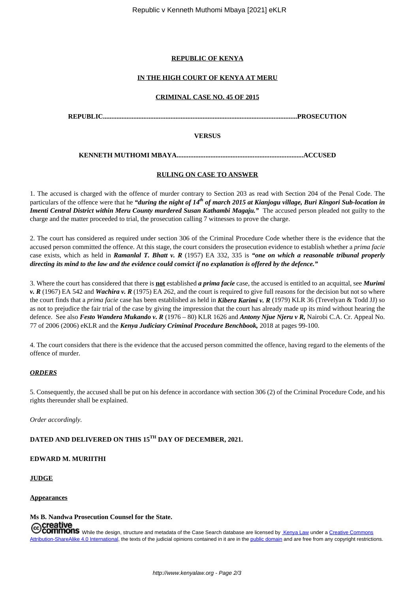## **REPUBLIC OF KENYA**

# **IN THE HIGH COURT OF KENYA AT MERU**

## **CRIMINAL CASE NO. 45 OF 2015**

**REPUBLIC...................................................................................................................PROSECUTION**

## **VERSUS**

**KENNETH MUTHOMI MBAYA...........................................................................ACCUSED**

## **RULING ON CASE TO ANSWER**

1. The accused is charged with the offence of murder contrary to Section 203 as read with Section 204 of the Penal Code. The particulars of the offence were that he *"during the night of 14th of march 2015 at Kianjogu village, Buri Kingori Sub-location in Imenti Central District within Meru County murdered Susan Kathambi Magaju."* The accused person pleaded not guilty to the charge and the matter proceeded to trial, the prosecution calling 7 witnesses to prove the charge.

2. The court has considered as required under section 306 of the Criminal Procedure Code whether there is the evidence that the accused person committed the offence. At this stage, the court considers the prosecution evidence to establish whether a *prima facie* case exists, which as held in *Ramanlal T. Bhatt v. R* (1957) EA 332, 335 is *"one on which a reasonable tribunal properly directing its mind to the law and the evidence could convict if no explanation is offered by the defence."*

3. Where the court has considered that there is **not** established *a prima facie* case, the accused is entitled to an acquittal, see *Murimi v. R* (1967) EA 542 and *Wachira v. R* (1975) EA 262, and the court is required to give full reasons for the decision but not so where the court finds that a *prima facie* case has been established as held in *Kibera Karimi v. R* (1979) KLR 36 (Trevelyan & Todd JJ) so as not to prejudice the fair trial of the case by giving the impression that the court has already made up its mind without hearing the defence. See also *Festo Wandera Mukando v. R* (1976 – 80) KLR 1626 and *Antony Njue Njeru v R,* Nairobi C.A. Cr. Appeal No. 77 of 2006 (2006) eKLR and the *Kenya Judiciary Criminal Procedure Benchbook,* 2018 at pages 99-100.

4. The court considers that there is the evidence that the accused person committed the offence, having regard to the elements of the offence of murder.

## *ORDERS*

5. Consequently, the accused shall be put on his defence in accordance with section 306 (2) of the Criminal Procedure Code, and his rights thereunder shall be explained.

*Order accordingly.*

# **DATED AND DELIVERED ON THIS 15TH DAY OF DECEMBER, 2021.**

## **EDWARD M. MURIITHI**

## **JUDGE**

**Appearances**

## **Ms B. Nandwa Prosecution Counsel for the State.**

**Creative**<br>Commons while the design, structure and metadata of the Case Search database are licensed by Kenya Law under a Creative Commons Commons Commons Commons and a commons of the University of the Case Search database Attribution-ShareAlike 4.0 International, the texts of the judicial opinions contained in it are in the public domain and are free from any copyright restrictions.